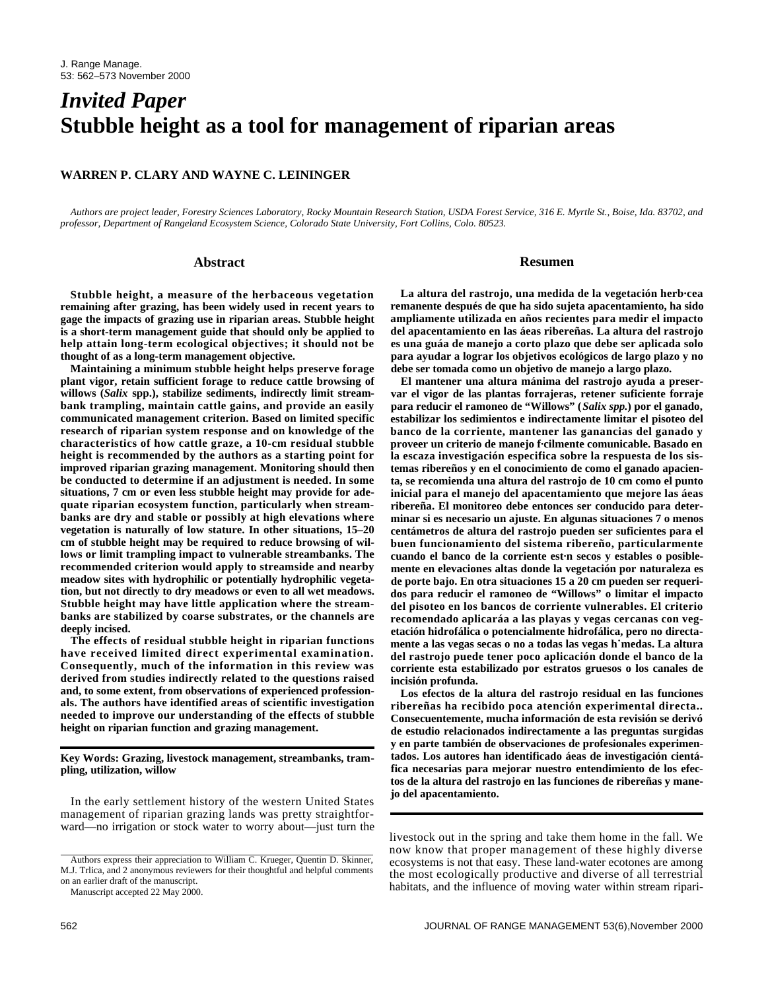# *Invited Paper* **Stubble height as a tool for management of riparian areas**

## **WARREN P. CLARY AND WAYNE C. LEININGER**

*Authors are project leader, Forestry Sciences Laboratory, Rocky Mountain Research Station, USDA Forest Service, 316 E. Myrtle St., Boise, Ida. 83702, and professor, Department of Rangeland Ecosystem Science, Colorado State University, Fort Collins, Colo. 80523.*

#### **Abstract**

**Stubble height, a measure of the herbaceous vegetation remaining after grazing, has been widely used in recent years to gage the impacts of grazing use in riparian areas. Stubble height is a short-term management guide that should only be applied to help attain long-term ecological objectives; it should not be thought of as a long-term management objective.** 

**Maintaining a minimum stubble height helps preserve forage plant vigor, retain sufficient forage to reduce cattle browsing of willows (***Salix* **spp.), stabilize sediments, indirectly limit streambank trampling, maintain cattle gains, and provide an easily communicated management criterion. Based on limited specific research of riparian system response and on knowledge of the characteristics of how cattle graze, a 10-cm residual stubble height is recommended by the authors as a starting point for improved riparian grazing management. Monitoring should then be conducted to determine if an adjustment is needed. In some situations, 7 cm or even less stubble height may provide for adequate riparian ecosystem function, particularly when streambanks are dry and stable or possibly at high elevations where vegetation is naturally of low stature. In other situations, 15–20 cm of stubble height may be required to reduce browsing of willows or limit trampling impact to vulnerable streambanks. The recommended criterion would apply to streamside and nearby meadow sites with hydrophilic or potentially hydrophilic vegetation, but not directly to dry meadows or even to all wet meadows. Stubble height may have little application where the streambanks are stabilized by coarse substrates, or the channels are deeply incised.**

**The effects of residual stubble height in riparian functions have received limited direct experimental examination. Consequently, much of the information in this review was derived from studies indirectly related to the questions raised and, to some extent, from observations of experienced professionals. The authors have identified areas of scientific investigation needed to improve our understanding of the effects of stubble height on riparian function and grazing management.** 

**Key Words: Grazing, livestock management, streambanks, trampling, utilization, willow**

In the early settlement history of the western United States management of riparian grazing lands was pretty straightforward—no irrigation or stock water to worry about—just turn the

## **Resumen**

**La altura del rastrojo, una medida de la vegetación herb·cea remanente después de que ha sido sujeta apacentamiento, ha sido ampliamente utilizada en años recientes para medir el impacto del apacentamiento en las áeas ribereñas. La altura del rastrojo es una guáa de manejo a corto plazo que debe ser aplicada solo para ayudar a lograr los objetivos ecológicos de largo plazo y no debe ser tomada como un objetivo de manejo a largo plazo.**

**El mantener una altura mánima del rastrojo ayuda a preservar el vigor de las plantas forrajeras, retener suficiente forraje para reducir el ramoneo de "Willows" (***Salix spp.***) por el ganado, estabilizar los sedimientos e indirectamente limitar el pisoteo del banco de la corriente, mantener las ganancias del ganado y proveer un criterio de manejo f·cilmente comunicable. Basado en la escaza investigación especifica sobre la respuesta de los sistemas ribereños y en el conocimiento de como el ganado apacienta, se recomienda una altura del rastrojo de 10 cm como el punto inicial para el manejo del apacentamiento que mejore las áeas ribereña. El monitoreo debe entonces ser conducido para determinar si es necesario un ajuste. En algunas situaciones 7 o menos centámetros de altura del rastrojo pueden ser suficientes para el buen funcionamiento del sistema ribereño, particularmente cuando el banco de la corriente est·n secos y estables o posiblemente en elevaciones altas donde la vegetación por naturaleza es de porte bajo. En otra situaciones 15 a 20 cm pueden ser requeridos para reducir el ramoneo de "Willows" o limitar el impacto del pisoteo en los bancos de corriente vulnerables. El criterio recomendado aplicaráa a las playas y vegas cercanas con vegetación hidrofálica o potencialmente hidrofálica, pero no directamente a las vegas secas o no a todas las vegas h˙medas. La altura del rastrojo puede tener poco aplicación donde el banco de la corriente esta estabilizado por estratos gruesos o los canales de incisión profunda.**

**Los efectos de la altura del rastrojo residual en las funciones ribereñas ha recibido poca atención experimental directa.. Consecuentemente, mucha información de esta revisión se derivó de estudio relacionados indirectamente a las preguntas surgidas y en parte también de observaciones de profesionales experimentados. Los autores han identificado áeas de investigación cientáfica necesarias para mejorar nuestro entendimiento de los efectos de la altura del rastrojo en las funciones de ribereñas y manejo del apacentamiento.**

livestock out in the spring and take them home in the fall. We now know that proper management of these highly diverse ecosystems is not that easy. These land-water ecotones are among the most ecologically productive and diverse of all terrestrial habitats, and the influence of moving water within stream ripari-

Authors express their appreciation to William C. Krueger, Quentin D. Skinner, M.J. Trlica, and 2 anonymous reviewers for their thoughtful and helpful comments on an earlier draft of the manuscript.

Manuscript accepted 22 May 2000.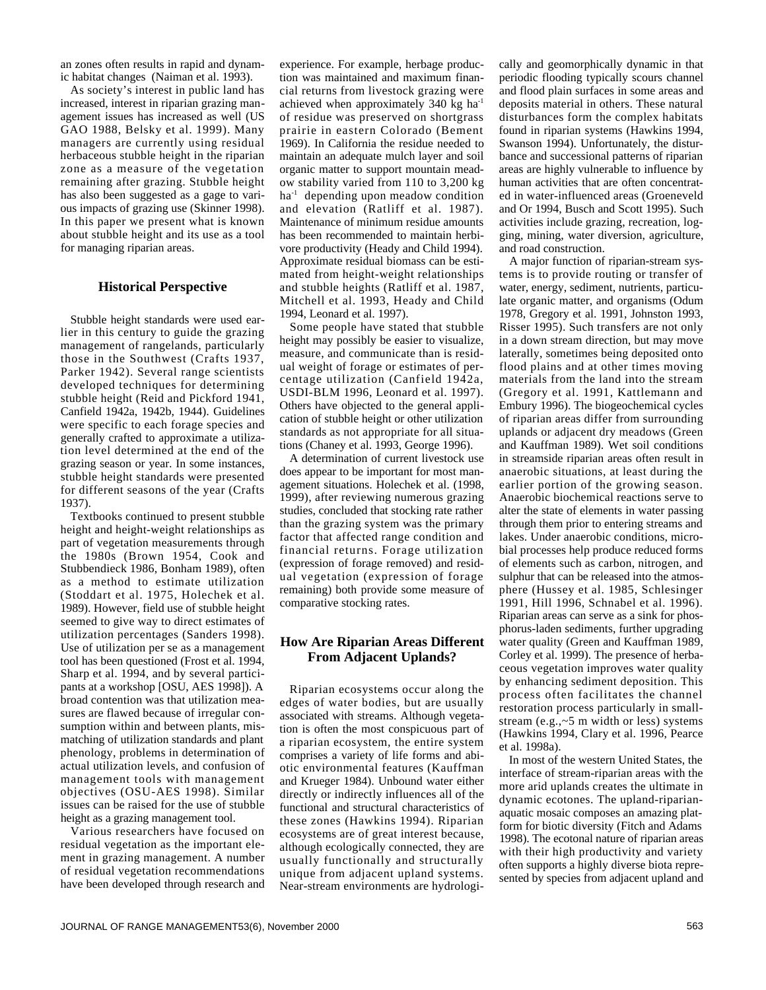an zones often results in rapid and dynamic habitat changes (Naiman et al. 1993).

As society's interest in public land has increased, interest in riparian grazing management issues has increased as well (US GAO 1988, Belsky et al. 1999). Many managers are currently using residual herbaceous stubble height in the riparian zone as a measure of the vegetation remaining after grazing. Stubble height has also been suggested as a gage to various impacts of grazing use (Skinner 1998). In this paper we present what is known about stubble height and its use as a tool for managing riparian areas.

## **Historical Perspective**

Stubble height standards were used earlier in this century to guide the grazing management of rangelands, particularly those in the Southwest (Crafts 1937, Parker 1942). Several range scientists developed techniques for determining stubble height (Reid and Pickford 1941, Canfield 1942a, 1942b, 1944). Guidelines were specific to each forage species and generally crafted to approximate a utilization level determined at the end of the grazing season or year. In some instances, stubble height standards were presented for different seasons of the year (Crafts 1937).

Textbooks continued to present stubble height and height-weight relationships as part of vegetation measurements through the 1980s (Brown 1954, Cook and Stubbendieck 1986, Bonham 1989), often as a method to estimate utilization (Stoddart et al. 1975, Holechek et al. 1989). However, field use of stubble height seemed to give way to direct estimates of utilization percentages (Sanders 1998). Use of utilization per se as a management tool has been questioned (Frost et al. 1994, Sharp et al. 1994, and by several participants at a workshop [OSU, AES 1998]). A broad contention was that utilization measures are flawed because of irregular consumption within and between plants, mismatching of utilization standards and plant phenology, problems in determination of actual utilization levels, and confusion of management tools with management objectives (OSU-AES 1998). Similar issues can be raised for the use of stubble height as a grazing management tool.

Various researchers have focused on residual vegetation as the important element in grazing management. A number of residual vegetation recommendations have been developed through research and experience. For example, herbage production was maintained and maximum financial returns from livestock grazing were achieved when approximately 340 kg ha-1 of residue was preserved on shortgrass prairie in eastern Colorado (Bement 1969). In California the residue needed to maintain an adequate mulch layer and soil organic matter to support mountain meadow stability varied from 110 to 3,200 kg  $ha<sup>-1</sup>$  depending upon meadow condition and elevation (Ratliff et al. 1987). Maintenance of minimum residue amounts has been recommended to maintain herbivore productivity (Heady and Child 1994). Approximate residual biomass can be estimated from height-weight relationships and stubble heights (Ratliff et al. 1987, Mitchell et al. 1993, Heady and Child 1994, Leonard et al. 1997).

Some people have stated that stubble height may possibly be easier to visualize, measure, and communicate than is residual weight of forage or estimates of percentage utilization (Canfield 1942a, USDI-BLM 1996, Leonard et al. 1997). Others have objected to the general application of stubble height or other utilization standards as not appropriate for all situations (Chaney et al. 1993, George 1996).

A determination of current livestock use does appear to be important for most management situations. Holechek et al. (1998, 1999), after reviewing numerous grazing studies, concluded that stocking rate rather than the grazing system was the primary factor that affected range condition and financial returns. Forage utilization (expression of forage removed) and residual vegetation (expression of forage remaining) both provide some measure of comparative stocking rates.

## **How Are Riparian Areas Different From Adjacent Uplands?**

Riparian ecosystems occur along the edges of water bodies, but are usually associated with streams. Although vegetation is often the most conspicuous part of a riparian ecosystem, the entire system comprises a variety of life forms and abiotic environmental features (Kauffman and Krueger 1984). Unbound water either directly or indirectly influences all of the functional and structural characteristics of these zones (Hawkins 1994). Riparian ecosystems are of great interest because, although ecologically connected, they are usually functionally and structurally unique from adjacent upland systems. Near-stream environments are hydrologi-

cally and geomorphically dynamic in that periodic flooding typically scours channel and flood plain surfaces in some areas and deposits material in others. These natural disturbances form the complex habitats found in riparian systems (Hawkins 1994, Swanson 1994). Unfortunately, the disturbance and successional patterns of riparian areas are highly vulnerable to influence by human activities that are often concentrated in water-influenced areas (Groeneveld and Or 1994, Busch and Scott 1995). Such activities include grazing, recreation, logging, mining, water diversion, agriculture, and road construction.

A major function of riparian-stream systems is to provide routing or transfer of water, energy, sediment, nutrients, particulate organic matter, and organisms (Odum 1978, Gregory et al. 1991, Johnston 1993, Risser 1995). Such transfers are not only in a down stream direction, but may move laterally, sometimes being deposited onto flood plains and at other times moving materials from the land into the stream (Gregory et al. 1991, Kattlemann and Embury 1996). The biogeochemical cycles of riparian areas differ from surrounding uplands or adjacent dry meadows (Green and Kauffman 1989). Wet soil conditions in streamside riparian areas often result in anaerobic situations, at least during the earlier portion of the growing season. Anaerobic biochemical reactions serve to alter the state of elements in water passing through them prior to entering streams and lakes. Under anaerobic conditions, microbial processes help produce reduced forms of elements such as carbon, nitrogen, and sulphur that can be released into the atmosphere (Hussey et al. 1985, Schlesinger 1991, Hill 1996, Schnabel et al. 1996). Riparian areas can serve as a sink for phosphorus-laden sediments, further upgrading water quality (Green and Kauffman 1989, Corley et al. 1999). The presence of herbaceous vegetation improves water quality by enhancing sediment deposition. This process often facilitates the channel restoration process particularly in smallstream (e.g.,~5 m width or less) systems (Hawkins 1994, Clary et al. 1996, Pearce et al. 1998a).

In most of the western United States, the interface of stream-riparian areas with the more arid uplands creates the ultimate in dynamic ecotones. The upland-riparianaquatic mosaic composes an amazing platform for biotic diversity (Fitch and Adams 1998). The ecotonal nature of riparian areas with their high productivity and variety often supports a highly diverse biota represented by species from adjacent upland and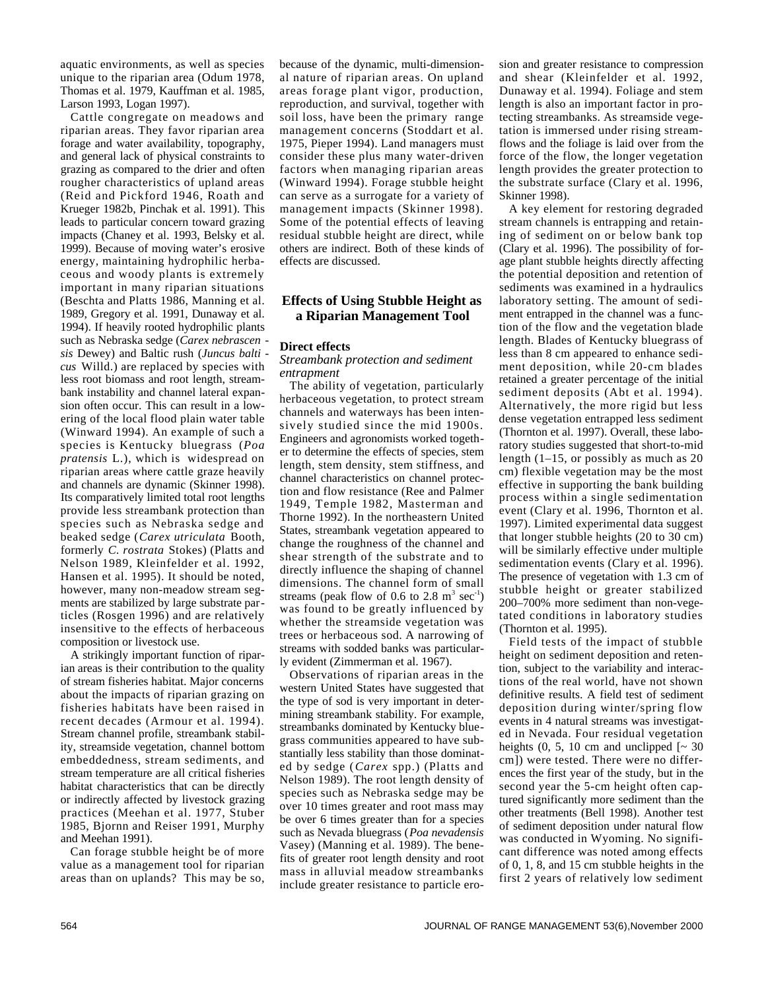aquatic environments, as well as species unique to the riparian area (Odum 1978, Thomas et al. 1979, Kauffman et al. 1985, Larson 1993, Logan 1997).

Cattle congregate on meadows and riparian areas. They favor riparian area forage and water availability, topography, and general lack of physical constraints to grazing as compared to the drier and often rougher characteristics of upland areas (Reid and Pickford 1946, Roath and Krueger 1982b, Pinchak et al. 1991). This leads to particular concern toward grazing impacts (Chaney et al. 1993, Belsky et al. 1999). Because of moving water's erosive energy, maintaining hydrophilic herbaceous and woody plants is extremely important in many riparian situations (Beschta and Platts 1986, Manning et al. 1989, Gregory et al. 1991, Dunaway et al. 1994). If heavily rooted hydrophilic plants such as Nebraska sedge (*Carex nebrascen sis* Dewey) and Baltic rush (*Juncus balti cus* Willd.) are replaced by species with less root biomass and root length, streambank instability and channel lateral expansion often occur. This can result in a lowering of the local flood plain water table (Winward 1994). An example of such a species is Kentucky bluegrass (Poa *pratensis* L.), which is widespread on riparian areas where cattle graze heavily and channels are dynamic (Skinner 1998). Its comparatively limited total root lengths provide less streambank protection than species such as Nebraska sedge and beaked sedge (Carex utriculata Booth, formerly *C. rostrata* Stokes) (Platts and Nelson 1989, Kleinfelder et al. 1992, Hansen et al. 1995). It should be noted, however, many non-meadow stream segments are stabilized by large substrate particles (Rosgen 1996) and are relatively insensitive to the effects of herbaceous composition or livestock use.

A strikingly important function of riparian areas is their contribution to the quality of stream fisheries habitat. Major concerns about the impacts of riparian grazing on fisheries habitats have been raised in recent decades (Armour et al. 1994). Stream channel profile, streambank stability, streamside vegetation, channel bottom embeddedness, stream sediments, and stream temperature are all critical fisheries habitat characteristics that can be directly or indirectly affected by livestock grazing practices (Meehan et al. 1977, Stuber 1985, Bjornn and Reiser 1991, Murphy and Meehan 1991).

Can forage stubble height be of more value as a management tool for riparian areas than on uplands? This may be so, because of the dynamic, multi-dimensional nature of riparian areas. On upland areas forage plant vigor, production, reproduction, and survival, together with soil loss, have been the primary range management concerns (Stoddart et al. 1975, Pieper 1994). Land managers must consider these plus many water-driven factors when managing riparian areas (Winward 1994). Forage stubble height can serve as a surrogate for a variety of management impacts (Skinner 1998). Some of the potential effects of leaving residual stubble height are direct, while others are indirect. Both of these kinds of effects are discussed.

## **Effects of Using Stubble Height as a Riparian Management Tool**

#### **Direct effects**

*Streambank protection and sediment entrapment*

The ability of vegetation, particularly herbaceous vegetation, to protect stream channels and waterways has been intensively studied since the mid 1900s. Engineers and agronomists worked together to determine the effects of species, stem length, stem density, stem stiffness, and channel characteristics on channel protection and flow resistance (Ree and Palmer 1949, Temple 1982, Masterman and Thorne 1992). In the northeastern United States, streambank vegetation appeared to change the roughness of the channel and shear strength of the substrate and to directly influence the shaping of channel dimensions. The channel form of small streams (peak flow of  $0.6$  to  $2.8 \text{ m}^3 \text{ sec}^{-1}$ ) was found to be greatly influenced by whether the streamside vegetation was trees or herbaceous sod. A narrowing of streams with sodded banks was particularly evident (Zimmerman et al. 1967).

Observations of riparian areas in the western United States have suggested that the type of sod is very important in determining streambank stability. For example, streambanks dominated by Kentucky bluegrass communities appeared to have substantially less stability than those dominated by sedge (*Carex* spp.) (Platts and Nelson 1989). The root length density of species such as Nebraska sedge may be over 10 times greater and root mass may be over 6 times greater than for a species such as Nevada bluegrass (*Poa nevadensis* Vasey) (Manning et al. 1989). The benefits of greater root length density and root mass in alluvial meadow streambanks include greater resistance to particle ero-

sion and greater resistance to compression and shear (Kleinfelder et al. 1992, Dunaway et al. 1994). Foliage and stem length is also an important factor in protecting streambanks. As streamside vegetation is immersed under rising streamflows and the foliage is laid over from the force of the flow, the longer vegetation length provides the greater protection to the substrate surface (Clary et al. 1996, Skinner 1998).

A key element for restoring degraded stream channels is entrapping and retaining of sediment on or below bank top (Clary et al. 1996). The possibility of forage plant stubble heights directly affecting the potential deposition and retention of sediments was examined in a hydraulics laboratory setting. The amount of sediment entrapped in the channel was a function of the flow and the vegetation blade length. Blades of Kentucky bluegrass of less than 8 cm appeared to enhance sediment deposition, while 20-cm blades retained a greater percentage of the initial sediment deposits (Abt et al. 1994). Alternatively, the more rigid but less dense vegetation entrapped less sediment (Thornton et al. 1997). Overall, these laboratory studies suggested that short-to-mid length (1–15, or possibly as much as 20 cm) flexible vegetation may be the most effective in supporting the bank building process within a single sedimentation event (Clary et al. 1996, Thornton et al. 1997). Limited experimental data suggest that longer stubble heights (20 to 30 cm) will be similarly effective under multiple sedimentation events (Clary et al. 1996). The presence of vegetation with 1.3 cm of stubble height or greater stabilized 200–700% more sediment than non-vegetated conditions in laboratory studies (Thornton et al. 1995).

Field tests of the impact of stubble height on sediment deposition and retention, subject to the variability and interactions of the real world, have not shown definitive results. A field test of sediment deposition during winter/spring flow events in 4 natural streams was investigated in Nevada. Four residual vegetation heights  $(0, 5, 10 \text{ cm and unclipped } [ \sim 30$ cm]) were tested. There were no differences the first year of the study, but in the second year the 5-cm height often captured significantly more sediment than the other treatments (Bell 1998). Another test of sediment deposition under natural flow was conducted in Wyoming. No significant difference was noted among effects of 0, 1, 8, and 15 cm stubble heights in the first 2 years of relatively low sediment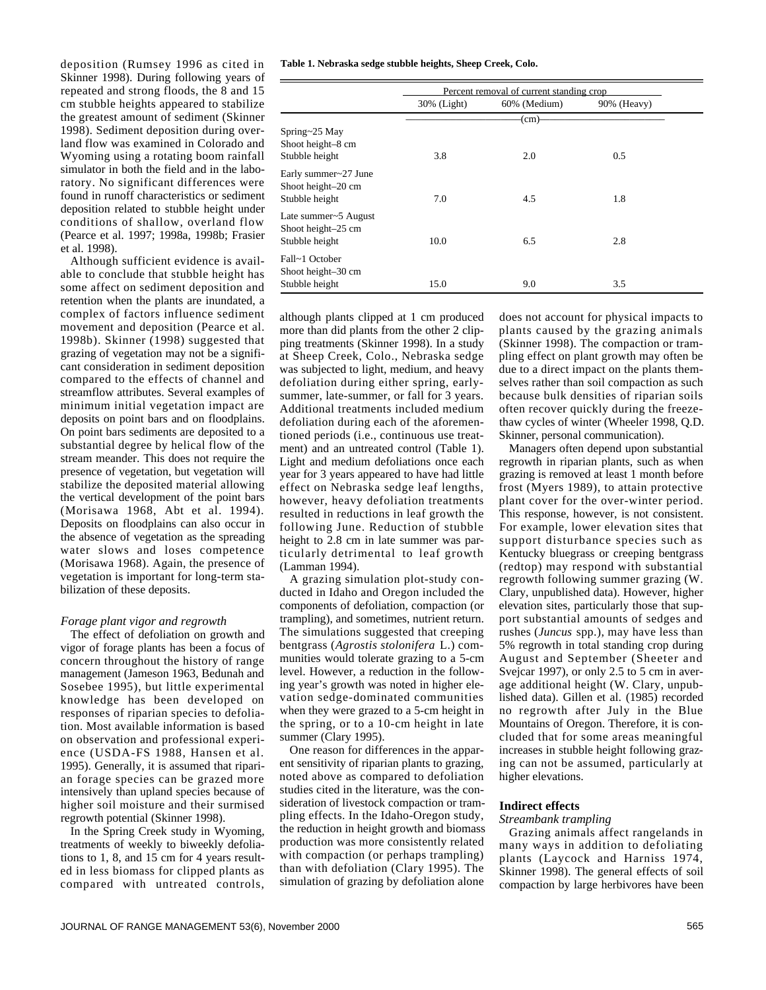deposition (Rumsey 1996 as cited in Skinner 1998). During following years of repeated and strong floods, the 8 and 15 cm stubble heights appeared to stabilize the greatest amount of sediment (Skinner 1998). Sediment deposition during overland flow was examined in Colorado and Wyoming using a rotating boom rainfall simulator in both the field and in the laboratory. No significant differences were found in runoff characteristics or sediment deposition related to stubble height under conditions of shallow, overland flow (Pearce et al. 1997; 1998a, 1998b; Frasier et al. 1998).

Although sufficient evidence is available to conclude that stubble height has some affect on sediment deposition and retention when the plants are inundated, a complex of factors influence sediment movement and deposition (Pearce et al. 1998b). Skinner (1998) suggested that grazing of vegetation may not be a significant consideration in sediment deposition compared to the effects of channel and streamflow attributes. Several examples of minimum initial vegetation impact are deposits on point bars and on floodplains. On point bars sediments are deposited to a substantial degree by helical flow of the stream meander. This does not require the presence of vegetation, but vegetation will stabilize the deposited material allowing the vertical development of the point bars (Morisawa 1968, Abt et al. 1994). Deposits on floodplains can also occur in the absence of vegetation as the spreading water slows and loses competence (Morisawa 1968). Again, the presence of vegetation is important for long-term stabilization of these deposits.

#### *Forage plant vigor and regrowth*

The effect of defoliation on growth and vigor of forage plants has been a focus of concern throughout the history of range management (Jameson 1963, Bedunah and Sosebee 1995), but little experimental knowledge has been developed on responses of riparian species to defoliation. Most available information is based on observation and professional experience (USDA-FS 1988, Hansen et al. 1995). Generally, it is assumed that riparian forage species can be grazed more intensively than upland species because of higher soil moisture and their surmised regrowth potential (Skinner 1998).

In the Spring Creek study in Wyoming, treatments of weekly to biweekly defoliations to 1, 8, and 15 cm for 4 years resulted in less biomass for clipped plants as compared with untreated controls,

#### **Table 1. Nebraska sedge stubble heights, Sheep Creek, Colo.**

|                                                              | Percent removal of current standing crop |              |             |
|--------------------------------------------------------------|------------------------------------------|--------------|-------------|
|                                                              | 30% (Light)                              | 60% (Medium) | 90% (Heavy) |
|                                                              |                                          | (cm)         |             |
| Spring~25 May<br>Shoot height-8 cm<br>Stubble height         | 3.8                                      | 2.0          | 0.5         |
| Early summer~27 June<br>Shoot height-20 cm<br>Stubble height | 7.0                                      | 4.5          | 1.8         |
| Late summer~5 August<br>Shoot height-25 cm<br>Stubble height | 10.0                                     | 6.5          | 2.8         |
| Fall~1 October<br>Shoot height-30 cm<br>Stubble height       | 15.0                                     | 9.0          | 3.5         |

although plants clipped at 1 cm produced more than did plants from the other 2 clipping treatments (Skinner 1998). In a study at Sheep Creek, Colo., Nebraska sedge was subjected to light, medium, and heavy defoliation during either spring, earlysummer, late-summer, or fall for 3 years. Additional treatments included medium defoliation during each of the aforementioned periods (i.e., continuous use treatment) and an untreated control (Table 1). Light and medium defoliations once each year for 3 years appeared to have had little effect on Nebraska sedge leaf lengths, however, heavy defoliation treatments resulted in reductions in leaf growth the following June. Reduction of stubble height to 2.8 cm in late summer was particularly detrimental to leaf growth (Lamman 1994).

A grazing simulation plot-study conducted in Idaho and Oregon included the components of defoliation, compaction (or trampling), and sometimes, nutrient return. The simulations suggested that creeping bentgrass (*Agrostis stolonifera* L.) communities would tolerate grazing to a 5-cm level. However, a reduction in the following year's growth was noted in higher elevation sedge-dominated communities when they were grazed to a 5-cm height in the spring, or to a 10-cm height in late summer (Clary 1995).

One reason for differences in the apparent sensitivity of riparian plants to grazing, noted above as compared to defoliation studies cited in the literature, was the consideration of livestock compaction or trampling effects. In the Idaho-Oregon study, the reduction in height growth and biomass production was more consistently related with compaction (or perhaps trampling) than with defoliation (Clary 1995). The simulation of grazing by defoliation alone

does not account for physical impacts to plants caused by the grazing animals (Skinner 1998). The compaction or trampling effect on plant growth may often be due to a direct impact on the plants themselves rather than soil compaction as such because bulk densities of riparian soils often recover quickly during the freezethaw cycles of winter (Wheeler 1998, Q.D. Skinner, personal communication).

Managers often depend upon substantial regrowth in riparian plants, such as when grazing is removed at least 1 month before frost (Myers 1989), to attain protective plant cover for the over-winter period. This response, however, is not consistent. For example, lower elevation sites that support disturbance species such as Kentucky bluegrass or creeping bentgrass (redtop) may respond with substantial regrowth following summer grazing (W. Clary, unpublished data). However, higher elevation sites, particularly those that support substantial amounts of sedges and rushes (*Juncus* spp.), may have less than 5% regrowth in total standing crop during August and September (Sheeter and Svejcar 1997), or only 2.5 to 5 cm in average additional height (W. Clary, unpublished data). Gillen et al. (1985) recorded no regrowth after July in the Blue Mountains of Oregon. Therefore, it is concluded that for some areas meaningful increases in stubble height following grazing can not be assumed, particularly at higher elevations.

#### **Indirect effects**

#### *Streambank trampling*

Grazing animals affect rangelands in many ways in addition to defoliating plants (Laycock and Harniss 1974, Skinner 1998). The general effects of soil compaction by large herbivores have been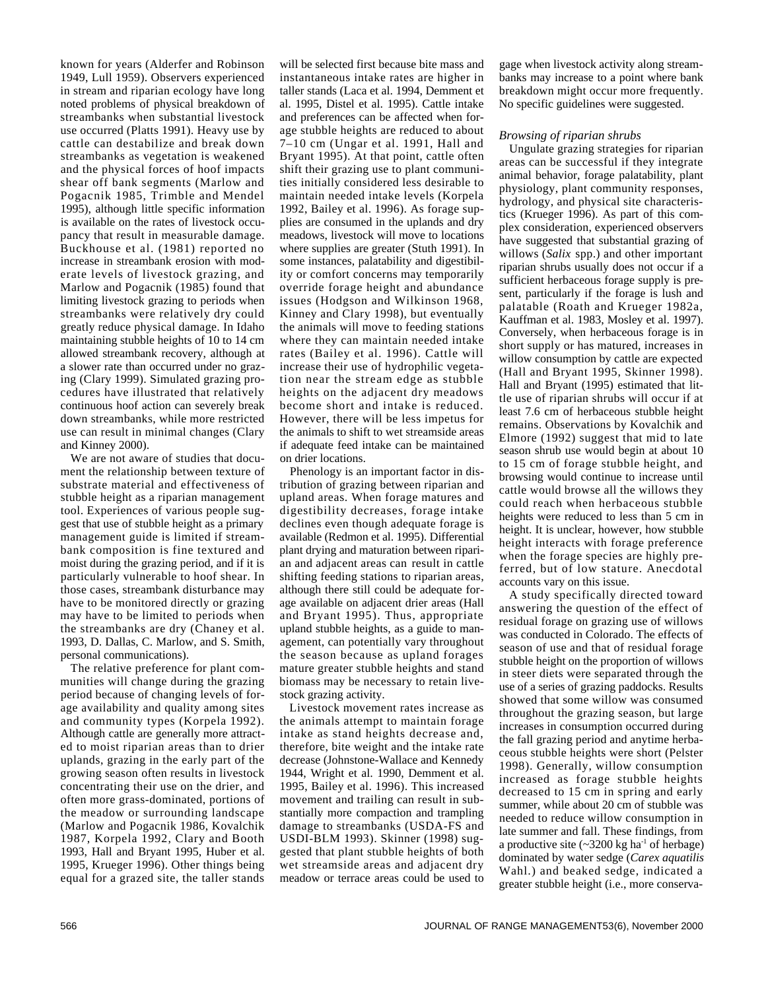known for years (Alderfer and Robinson 1949, Lull 1959). Observers experienced in stream and riparian ecology have long noted problems of physical breakdown of streambanks when substantial livestock use occurred (Platts 1991). Heavy use by cattle can destabilize and break down streambanks as vegetation is weakened and the physical forces of hoof impacts shear off bank segments (Marlow and Pogacnik 1985, Trimble and Mendel 1995), although little specific information is available on the rates of livestock occupancy that result in measurable damage. Buckhouse et al. (1981) reported no increase in streambank erosion with moderate levels of livestock grazing, and Marlow and Pogacnik (1985) found that limiting livestock grazing to periods when streambanks were relatively dry could greatly reduce physical damage. In Idaho maintaining stubble heights of 10 to 14 cm allowed streambank recovery, although at a slower rate than occurred under no grazing (Clary 1999). Simulated grazing procedures have illustrated that relatively continuous hoof action can severely break down streambanks, while more restricted use can result in minimal changes (Clary and Kinney 2000).

We are not aware of studies that document the relationship between texture of substrate material and effectiveness of stubble height as a riparian management tool. Experiences of various people suggest that use of stubble height as a primary management guide is limited if streambank composition is fine textured and moist during the grazing period, and if it is particularly vulnerable to hoof shear. In those cases, streambank disturbance may have to be monitored directly or grazing may have to be limited to periods when the streambanks are dry (Chaney et al. 1993, D. Dallas, C. Marlow, and S. Smith, personal communications).

The relative preference for plant communities will change during the grazing period because of changing levels of forage availability and quality among sites and community types (Korpela 1992). Although cattle are generally more attracted to moist riparian areas than to drier uplands, grazing in the early part of the growing season often results in livestock concentrating their use on the drier, and often more grass-dominated, portions of the meadow or surrounding landscape (Marlow and Pogacnik 1986, Kovalchik 1987, Korpela 1992, Clary and Booth 1993, Hall and Bryant 1995, Huber et al. 1995, Krueger 1996). Other things being equal for a grazed site, the taller stands

will be selected first because bite mass and instantaneous intake rates are higher in taller stands (Laca et al. 1994, Demment et al. 1995, Distel et al. 1995). Cattle intake and preferences can be affected when forage stubble heights are reduced to about 7–10 cm (Ungar et al. 1991, Hall and Bryant 1995). At that point, cattle often shift their grazing use to plant communities initially considered less desirable to maintain needed intake levels (Korpela 1992, Bailey et al. 1996). As forage supplies are consumed in the uplands and dry meadows, livestock will move to locations where supplies are greater (Stuth 1991). In some instances, palatability and digestibility or comfort concerns may temporarily override forage height and abundance issues (Hodgson and Wilkinson 1968, Kinney and Clary 1998), but eventually the animals will move to feeding stations where they can maintain needed intake rates (Bailey et al. 1996). Cattle will increase their use of hydrophilic vegetation near the stream edge as stubble heights on the adjacent dry meadows become short and intake is reduced. However, there will be less impetus for the animals to shift to wet streamside areas if adequate feed intake can be maintained on drier locations.

Phenology is an important factor in distribution of grazing between riparian and upland areas. When forage matures and digestibility decreases, forage intake declines even though adequate forage is available (Redmon et al. 1995). Differential plant drying and maturation between riparian and adjacent areas can result in cattle shifting feeding stations to riparian areas, although there still could be adequate forage available on adjacent drier areas (Hall and Bryant 1995). Thus, appropriate upland stubble heights, as a guide to management, can potentially vary throughout the season because as upland forages mature greater stubble heights and stand biomass may be necessary to retain livestock grazing activity.

Livestock movement rates increase as the animals attempt to maintain forage intake as stand heights decrease and, therefore, bite weight and the intake rate decrease (Johnstone-Wallace and Kennedy 1944, Wright et al. 1990, Demment et al. 1995, Bailey et al. 1996). This increased movement and trailing can result in substantially more compaction and trampling damage to streambanks (USDA-FS and USDI-BLM 1993). Skinner (1998) suggested that plant stubble heights of both wet streamside areas and adjacent dry meadow or terrace areas could be used to

gage when livestock activity along streambanks may increase to a point where bank breakdown might occur more frequently. No specific guidelines were suggested.

## *Browsing of riparian shrubs*

Ungulate grazing strategies for riparian areas can be successful if they integrate animal behavior, forage palatability, plant physiology, plant community responses, hydrology, and physical site characteristics (Krueger 1996). As part of this complex consideration, experienced observers have suggested that substantial grazing of willows (*Salix* spp.) and other important riparian shrubs usually does not occur if a sufficient herbaceous forage supply is present, particularly if the forage is lush and palatable (Roath and Krueger 1982a, Kauffman et al. 1983, Mosley et al. 1997). Conversely, when herbaceous forage is in short supply or has matured, increases in willow consumption by cattle are expected (Hall and Bryant 1995, Skinner 1998). Hall and Bryant (1995) estimated that little use of riparian shrubs will occur if at least 7.6 cm of herbaceous stubble height remains. Observations by Kovalchik and Elmore (1992) suggest that mid to late season shrub use would begin at about 10 to 15 cm of forage stubble height, and browsing would continue to increase until cattle would browse all the willows they could reach when herbaceous stubble heights were reduced to less than 5 cm in height. It is unclear, however, how stubble height interacts with forage preference when the forage species are highly preferred, but of low stature. Anecdotal accounts vary on this issue.

A study specifically directed toward answering the question of the effect of residual forage on grazing use of willows was conducted in Colorado. The effects of season of use and that of residual forage stubble height on the proportion of willows in steer diets were separated through the use of a series of grazing paddocks. Results showed that some willow was consumed throughout the grazing season, but large increases in consumption occurred during the fall grazing period and anytime herbaceous stubble heights were short (Pelster 1998). Generally, willow consumption increased as forage stubble heights decreased to 15 cm in spring and early summer, while about 20 cm of stubble was needed to reduce willow consumption in late summer and fall. These findings, from a productive site  $(\sim 3200 \text{ kg ha}^{-1})$  of herbage) dominated by water sedge (*Carex aquatilis* Wahl.) and beaked sedge, indicated a greater stubble height (i.e., more conserva-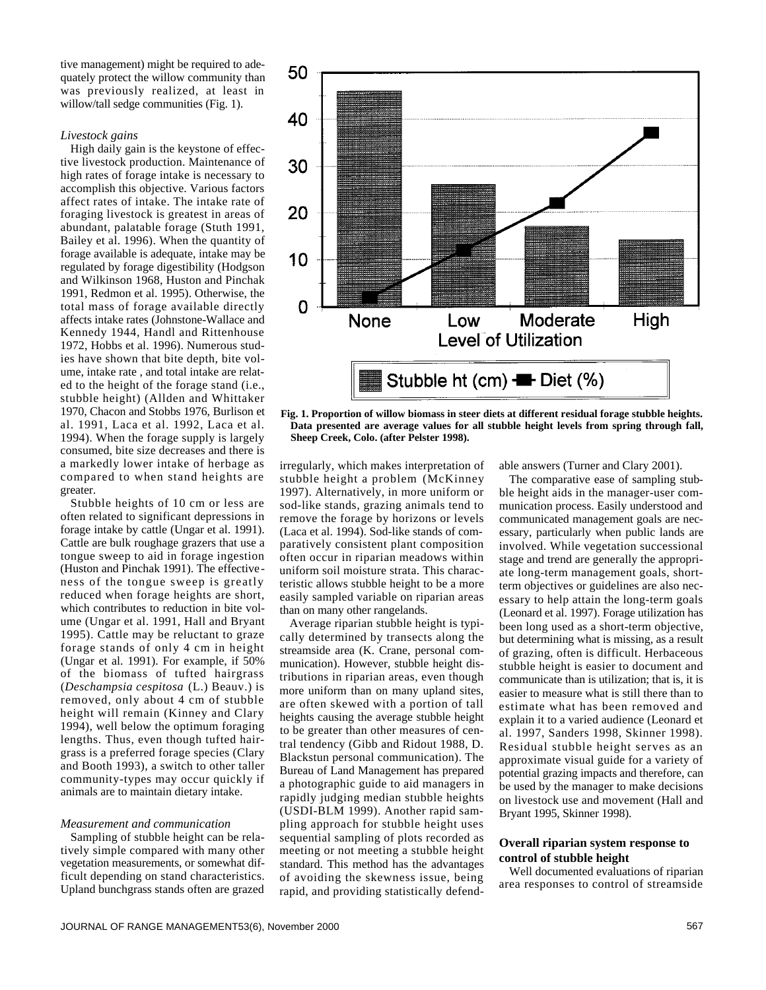tive management) might be required to adequately protect the willow community than was previously realized, at least in willow/tall sedge communities (Fig. 1).

#### *Livestock gains*

High daily gain is the keystone of effective livestock production. Maintenance of high rates of forage intake is necessary to accomplish this objective. Various factors affect rates of intake. The intake rate of foraging livestock is greatest in areas of abundant, palatable forage (Stuth 1991, Bailey et al. 1996). When the quantity of forage available is adequate, intake may be regulated by forage digestibility (Hodgson and Wilkinson 1968, Huston and Pinchak 1991, Redmon et al. 1995). Otherwise, the total mass of forage available directly affects intake rates (Johnstone-Wallace and Kennedy 1944, Handl and Rittenhouse 1972, Hobbs et al. 1996). Numerous studies have shown that bite depth, bite volume, intake rate , and total intake are related to the height of the forage stand (i.e., stubble height) (Allden and Whittaker 1970, Chacon and Stobbs 1976, Burlison et al. 1991, Laca et al. 1992, Laca et al. 1994). When the forage supply is largely consumed, bite size decreases and there is a markedly lower intake of herbage as compared to when stand heights are greater.

Stubble heights of 10 cm or less are often related to significant depressions in forage intake by cattle (Ungar et al. 1991). Cattle are bulk roughage grazers that use a tongue sweep to aid in forage ingestion (Huston and Pinchak 1991). The effective ness of the tongue sweep is greatly reduced when forage heights are short, which contributes to reduction in bite volume (Ungar et al. 1991, Hall and Bryant 1995). Cattle may be reluctant to graze forage stands of only 4 cm in height (Ungar et al. 1991). For example, if 50% of the biomass of tufted hairgrass (*Deschampsia cespitosa* (L.) Beauv.) is removed, only about 4 cm of stubble height will remain (Kinney and Clary 1994), well below the optimum foraging lengths. Thus, even though tufted hairgrass is a preferred forage species (Clary and Booth 1993), a switch to other taller community-types may occur quickly if animals are to maintain dietary intake.

#### *Measurement and communication*

Sampling of stubble height can be relatively simple compared with many other vegetation measurements, or somewhat difficult depending on stand characteristics. Upland bunchgrass stands often are grazed



**Fig. 1. Proportion of willow biomass in steer diets at different residual forage stubble heights. Data presented are average values for all stubble height levels from spring through fall, Sheep Creek, Colo. (after Pelster 1998).** 

irregularly, which makes interpretation of stubble height a problem (McKinney 1997). Alternatively, in more uniform or sod-like stands, grazing animals tend to remove the forage by horizons or levels (Laca et al. 1994). Sod-like stands of comparatively consistent plant composition often occur in riparian meadows within uniform soil moisture strata. This characteristic allows stubble height to be a more easily sampled variable on riparian areas than on many other rangelands.

Average riparian stubble height is typically determined by transects along the streamside area (K. Crane, personal communication). However, stubble height distributions in riparian areas, even though more uniform than on many upland sites, are often skewed with a portion of tall heights causing the average stubble height to be greater than other measures of central tendency (Gibb and Ridout 1988, D. Blackstun personal communication). The Bureau of Land Management has prepared a photographic guide to aid managers in rapidly judging median stubble heights (USDI-BLM 1999). Another rapid sampling approach for stubble height uses sequential sampling of plots recorded as meeting or not meeting a stubble height standard. This method has the advantages of avoiding the skewness issue, being rapid, and providing statistically defendable answers (Turner and Clary 2001).

The comparative ease of sampling stubble height aids in the manager-user communication process. Easily understood and communicated management goals are necessary, particularly when public lands are involved. While vegetation successional stage and trend are generally the appropriate long-term management goals, shortterm objectives or guidelines are also necessary to help attain the long-term goals (Leonard et al. 1997). Forage utilization has been long used as a short-term objective, but determining what is missing, as a result of grazing, often is difficult. Herbaceous stubble height is easier to document and communicate than is utilization; that is, it is easier to measure what is still there than to estimate what has been removed and explain it to a varied audience (Leonard et al. 1997, Sanders 1998, Skinner 1998). Residual stubble height serves as an approximate visual guide for a variety of potential grazing impacts and therefore, can be used by the manager to make decisions on livestock use and movement (Hall and Bryant 1995, Skinner 1998).

## **Overall riparian system response to control of stubble height**

Well documented evaluations of riparian area responses to control of streamside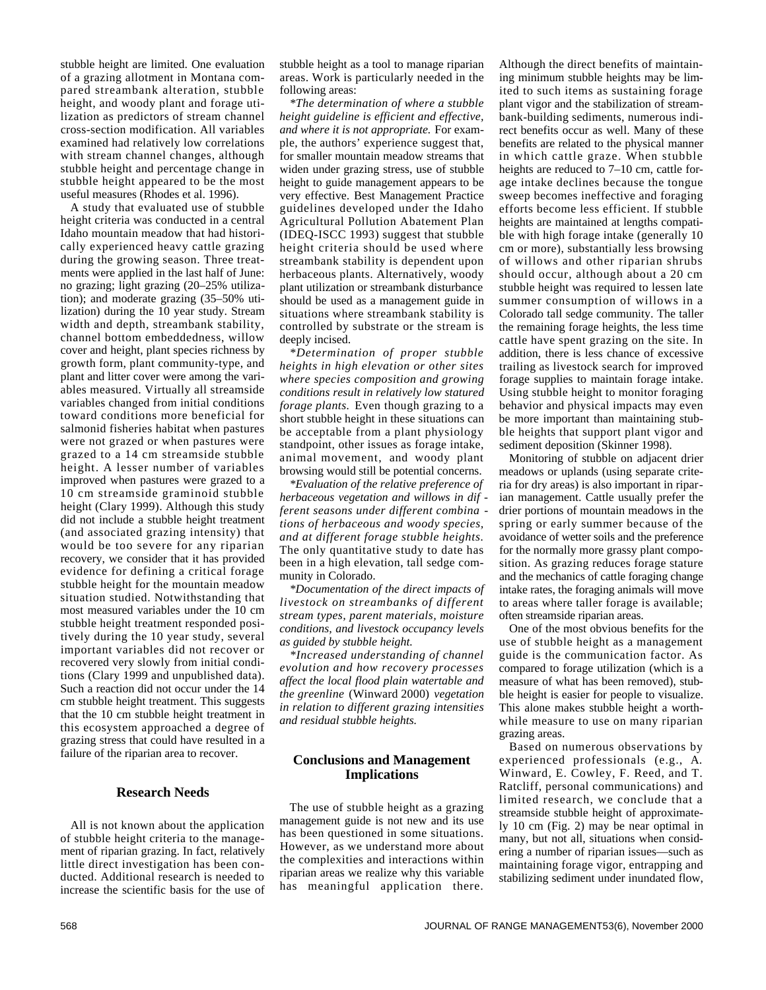stubble height are limited. One evaluation of a grazing allotment in Montana compared streambank alteration, stubble height, and woody plant and forage utilization as predictors of stream channel cross-section modification. All variables examined had relatively low correlations with stream channel changes, although stubble height and percentage change in stubble height appeared to be the most useful measures (Rhodes et al. 1996).

A study that evaluated use of stubble height criteria was conducted in a central Idaho mountain meadow that had historically experienced heavy cattle grazing during the growing season. Three treatments were applied in the last half of June: no grazing; light grazing (20–25% utilization); and moderate grazing (35–50% utilization) during the 10 year study. Stream width and depth, streambank stability, channel bottom embeddedness, willow cover and height, plant species richness by growth form, plant community-type, and plant and litter cover were among the variables measured. Virtually all streamside variables changed from initial conditions toward conditions more beneficial for salmonid fisheries habitat when pastures were not grazed or when pastures were grazed to a 14 cm streamside stubble height. A lesser number of variables improved when pastures were grazed to a 10 cm streamside graminoid stubble height (Clary 1999). Although this study did not include a stubble height treatment (and associated grazing intensity) that would be too severe for any riparian recovery, we consider that it has provided evidence for defining a critical forage stubble height for the mountain meadow situation studied. Notwithstanding that most measured variables under the 10 cm stubble height treatment responded positively during the 10 year study, several important variables did not recover or recovered very slowly from initial conditions (Clary 1999 and unpublished data). Such a reaction did not occur under the 14 cm stubble height treatment. This suggests that the 10 cm stubble height treatment in this ecosystem approached a degree of grazing stress that could have resulted in a failure of the riparian area to recover.

## **Research Needs**

All is not known about the application of stubble height criteria to the management of riparian grazing. In fact, relatively little direct investigation has been conducted. Additional research is needed to increase the scientific basis for the use of stubble height as a tool to manage riparian areas. Work is particularly needed in the following areas:

*\*The determination of where a stubble height guideline is efficient and effective, and where it is not appropriate.* For example, the authors' experience suggest that, for smaller mountain meadow streams that widen under grazing stress, use of stubble height to guide management appears to be very effective. Best Management Practice guidelines developed under the Idaho Agricultural Pollution Abatement Plan (IDEQ-ISCC 1993) suggest that stubble height criteria should be used where streambank stability is dependent upon herbaceous plants. Alternatively, woody plant utilization or streambank disturbance should be used as a management guide in situations where streambank stability is controlled by substrate or the stream is deeply incised.

*\*Determination of proper stubble heights in high elevation or other sites where species composition and growing conditions result in relatively low statured forage plants.* Even though grazing to a short stubble height in these situations can be acceptable from a plant physiology standpoint, other issues as forage intake, animal movement, and woody plant browsing would still be potential concerns.

*\*Evaluation of the relative preference of herbaceous vegetation and willows in dif ferent seasons under different combina tions of herbaceous and woody species, and at different forage stubble heights.* The only quantitative study to date has been in a high elevation, tall sedge community in Colorado.

*\*Documentation of the direct impacts of livestock on streambanks of different stream types, parent materials, moisture conditions, and livestock occupancy levels as guided by stubble height.*

*\*Increased understanding of channel evolution and how recovery processes affect the local flood plain watertable and the greenline* (Winward 2000) *vegetation in relation to different grazing intensities and residual stubble heights.*

## **Conclusions and Management Implications**

The use of stubble height as a grazing management guide is not new and its use has been questioned in some situations. However, as we understand more about the complexities and interactions within riparian areas we realize why this variable has meaningful application there.

Although the direct benefits of maintaining minimum stubble heights may be limited to such items as sustaining forage plant vigor and the stabilization of streambank-building sediments, numerous indirect benefits occur as well. Many of these benefits are related to the physical manner in which cattle graze. When stubble heights are reduced to 7–10 cm, cattle forage intake declines because the tongue sweep becomes ineffective and foraging efforts become less efficient. If stubble heights are maintained at lengths compatible with high forage intake (generally 10 cm or more), substantially less browsing of willows and other riparian shrubs should occur, although about a 20 cm stubble height was required to lessen late summer consumption of willows in a Colorado tall sedge community. The taller the remaining forage heights, the less time cattle have spent grazing on the site. In addition, there is less chance of excessive trailing as livestock search for improved forage supplies to maintain forage intake. Using stubble height to monitor foraging behavior and physical impacts may even be more important than maintaining stubble heights that support plant vigor and sediment deposition (Skinner 1998).

Monitoring of stubble on adjacent drier meadows or uplands (using separate criteria for dry areas) is also important in riparian management. Cattle usually prefer the drier portions of mountain meadows in the spring or early summer because of the avoidance of wetter soils and the preference for the normally more grassy plant composition. As grazing reduces forage stature and the mechanics of cattle foraging change intake rates, the foraging animals will move to areas where taller forage is available; often streamside riparian areas.

One of the most obvious benefits for the use of stubble height as a management guide is the communication factor. As compared to forage utilization (which is a measure of what has been removed), stubble height is easier for people to visualize. This alone makes stubble height a worthwhile measure to use on many riparian grazing areas.

Based on numerous observations by experienced professionals (e.g., A. Winward, E. Cowley, F. Reed, and T. Ratcliff, personal communications) and limited research, we conclude that a streamside stubble height of approximately 10 cm (Fig. 2) may be near optimal in many, but not all, situations when considering a number of riparian issues—such as maintaining forage vigor, entrapping and stabilizing sediment under inundated flow,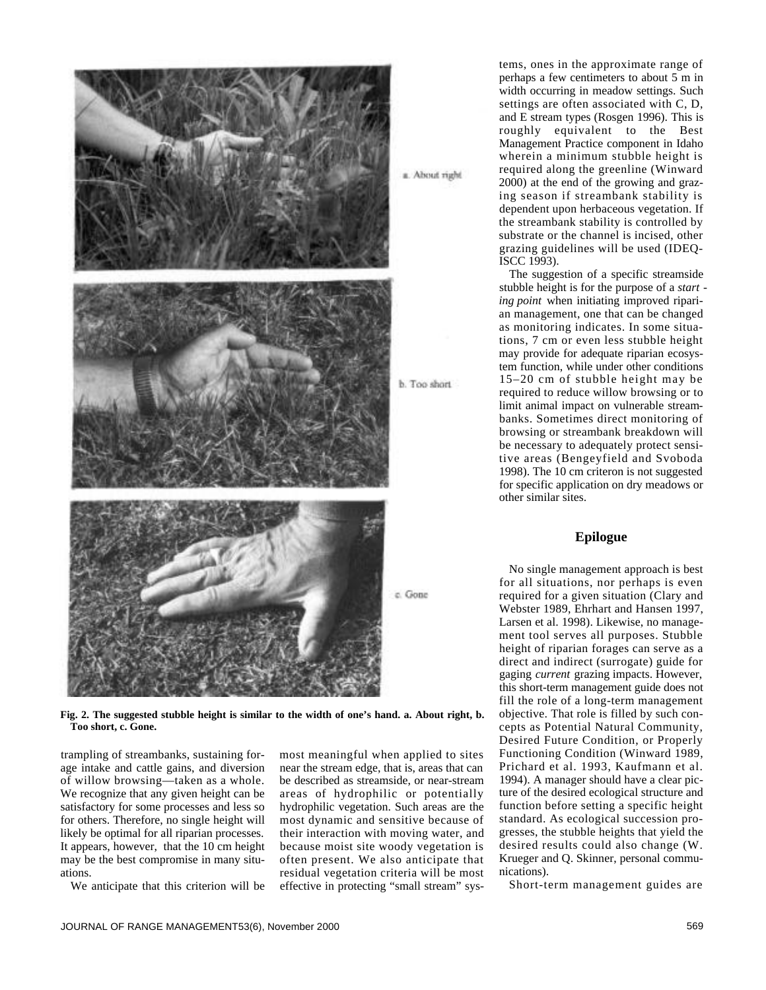

**Fig. 2. The suggested stubble height is similar to the width of one's hand. a. About right, b. Too short, c. Gone.**

trampling of streambanks, sustaining forage intake and cattle gains, and diversion of willow browsing—taken as a whole. We recognize that any given height can be satisfactory for some processes and less so for others. Therefore, no single height will likely be optimal for all riparian processes. It appears, however, that the 10 cm height may be the best compromise in many situations.

We anticipate that this criterion will be

most meaningful when applied to sites near the stream edge, that is, areas that can be described as streamside, or near-stream areas of hydrophilic or potentially hydrophilic vegetation. Such areas are the most dynamic and sensitive because of their interaction with moving water, and because moist site woody vegetation is often present. We also anticipate that residual vegetation criteria will be most effective in protecting "small stream" systems, ones in the approximate range of perhaps a few centimeters to about 5 m in width occurring in meadow settings. Such settings are often associated with C, D, and E stream types (Rosgen 1996). This is roughly equivalent to the Best Management Practice component in Idaho wherein a minimum stubble height is required along the greenline (Winward 2000) at the end of the growing and grazing season if streambank stability is dependent upon herbaceous vegetation. If the streambank stability is controlled by substrate or the channel is incised, other grazing guidelines will be used (IDEQ-ISCC 1993).

The suggestion of a specific streamside stubble height is for the purpose of a *start ing point* when initiating improved riparian management, one that can be changed as monitoring indicates. In some situations, 7 cm or even less stubble height may provide for adequate riparian ecosystem function, while under other conditions 15–20 cm of stubble height may be required to reduce willow browsing or to limit animal impact on vulnerable streambanks. Sometimes direct monitoring of browsing or streambank breakdown will be necessary to adequately protect sensitive areas (Bengeyfield and Svoboda 1998). The 10 cm criteron is not suggested for specific application on dry meadows or other similar sites.

## **Epilogue**

No single management approach is best for all situations, nor perhaps is even required for a given situation (Clary and Webster 1989, Ehrhart and Hansen 1997, Larsen et al. 1998). Likewise, no management tool serves all purposes. Stubble height of riparian forages can serve as a direct and indirect (surrogate) guide for gaging *current* grazing impacts. However, this short-term management guide does not fill the role of a long-term management objective. That role is filled by such concepts as Potential Natural Community, Desired Future Condition, or Properly Functioning Condition (Winward 1989, Prichard et al. 1993, Kaufmann et al. 1994). A manager should have a clear picture of the desired ecological structure and function before setting a specific height standard. As ecological succession progresses, the stubble heights that yield the desired results could also change (W. Krueger and Q. Skinner, personal communications).

Short-term management guides are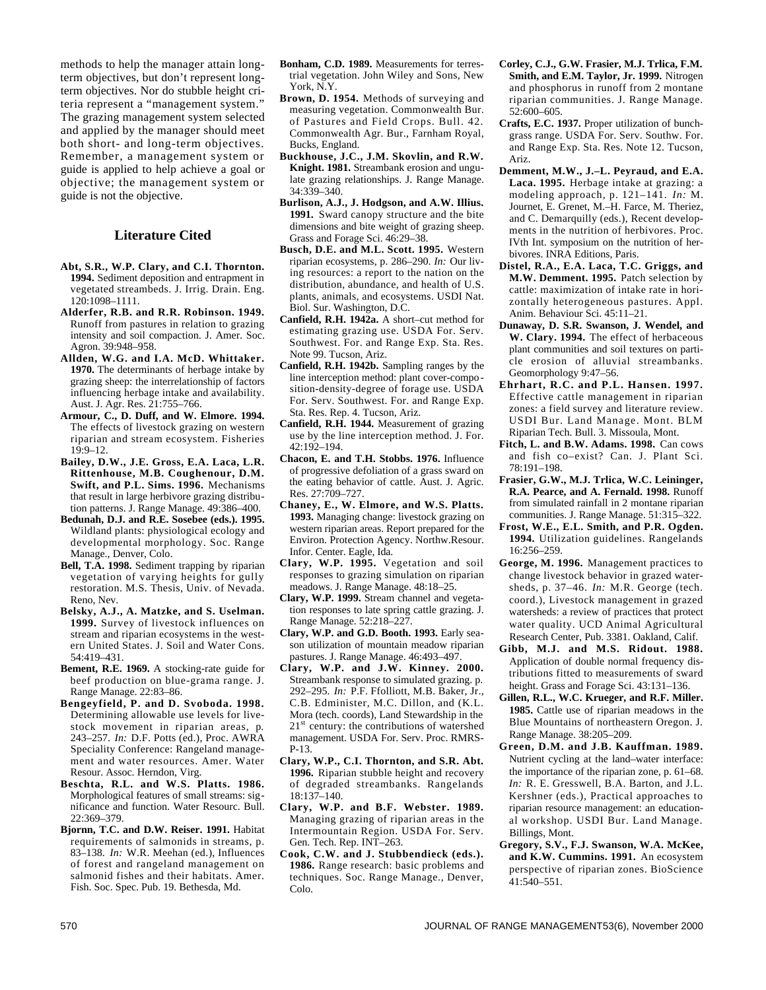methods to help the manager attain longterm objectives, but don't represent longterm objectives. Nor do stubble height criteria represent a "management system." The grazing management system selected and applied by the manager should meet both short- and long-term objectives. Remember, a management system or guide is applied to help achieve a goal or objective; the management system or guide is not the objective.

## **Literature Cited**

- **Abt, S.R., W.P. Clary, and C.I. Thornton. 1994.** Sediment deposition and entrapment in vegetated streambeds. J. Irrig. Drain. Eng. 120:1098–1111.
- **Alderfer, R.B. and R.R. Robinson. 1949.** Runoff from pastures in relation to grazing intensity and soil compaction. J. Amer. Soc. Agron. 39:948–958.
- **Allden, W.G. and I.A. McD. Whittaker. 1970.** The determinants of herbage intake by grazing sheep: the interrelationship of factors influencing herbage intake and availability. Aust. J. Agr. Res. 21:755–766.
- **Armour, C., D. Duff, and W. Elmore. 1994.** The effects of livestock grazing on western riparian and stream ecosystem. Fisheries 19:9–12.
- **Bailey, D.W., J.E. Gross, E.A. Laca, L.R. Rittenhouse, M.B. Coughenour, D.M.** Swift, and P.L. Sims. 1996. Mechanisms that result in large herbivore grazing distribution patterns. J. Range Manage. 49:386–400.
- **Bedunah, D.J. and R.E. Sosebee (eds.). 1995.** Wildland plants: physiological ecology and developmental morphology. Soc. Range Manage., Denver, Colo.
- **Bell, T.A. 1998.** Sediment trapping by riparian vegetation of varying heights for gully restoration. M.S. Thesis, Univ. of Nevada. Reno, Nev.
- **Belsky, A.J., A. Matzke, and S. Uselman. 1999.** Survey of livestock influences on stream and riparian ecosystems in the western United States. J. Soil and Water Cons. 54:419–431.
- **Bement, R.E. 1969.** A stocking-rate guide for beef production on blue-grama range. J. Range Manage. 22:83–86.
- **Bengeyfield, P. and D. Svoboda. 1998.** Determining allowable use levels for livestock movement in riparian areas, p. 243–257. *In:* D.F. Potts (ed.), Proc. AWRA Speciality Conference: Rangeland management and water resources. Amer. Water Resour. Assoc. Herndon, Virg.
- **Beschta, R.L. and W.S. Platts. 1986.** Morphological features of small streams: significance and function. Water Resourc. Bull. 22:369–379.
- **Bjornn, T.C. and D.W. Reiser. 1991.** Habitat requirements of salmonids in streams, p. 83–138. *In:* W.R. Meehan (ed.), Influences of forest and rangeland management on salmonid fishes and their habitats. Amer. Fish. Soc. Spec. Pub. 19. Bethesda, Md.
- **Bonham, C.D. 1989.** Measurements for terrestrial vegetation. John Wiley and Sons, New York, N.Y.
- **Brown, D. 1954.** Methods of surveying and measuring vegetation. Commonwealth Bur. of Pastures and Field Crops. Bull. 42. Commonwealth Agr. Bur., Farnham Royal, Bucks, England.
- **Buckhouse, J.C., J.M. Skovlin, and R.W. Knight. 1981.** Streambank erosion and ungulate grazing relationships. J. Range Manage. 34:339–340.
- **Burlison, A.J., J. Hodgson, and A.W. Illius. 1991.** Sward canopy structure and the bite dimensions and bite weight of grazing sheep. Grass and Forage Sci. 46:29–38.
- **Busch, D.E. and M.L. Scott. 1995.** Western riparian ecosystems, p. 286–290. *In:* Our living resources: a report to the nation on the distribution, abundance, and health of U.S. plants, animals, and ecosystems. USDI Nat. Biol. Sur. Washington, D.C.
- **Canfield, R.H. 1942a.** A short–cut method for estimating grazing use. USDA For. Serv. Southwest. For. and Range Exp. Sta. Res. Note 99. Tucson, Ariz.
- **Canfield, R.H. 1942b.** Sampling ranges by the line interception method: plant cover-composition-density-degree of forage use. USDA For. Serv. Southwest. For. and Range Exp. Sta. Res. Rep. 4. Tucson, Ariz.
- **Canfield, R.H. 1944.** Measurement of grazing use by the line interception method. J. For. 42:192–194.
- **Chacon, E. and T.H. Stobbs. 1976.** Influence of progressive defoliation of a grass sward on the eating behavior of cattle. Aust. J. Agric. Res. 27:709–727.
- **Chaney, E., W. Elmore, and W.S. Platts. 1993.** Managing change: livestock grazing on western riparian areas. Report prepared for the Environ. Protection Agency. Northw.Resour. Infor. Center. Eagle, Ida.
- **Clary, W.P. 1995.** Vegetation and soil responses to grazing simulation on riparian meadows. J. Range Manage. 48:18–25.
- **Clary, W.P. 1999.** Stream channel and vegetation responses to late spring cattle grazing. J. Range Manage. 52:218–227.
- **Clary, W.P. and G.D. Booth. 1993.** Early season utilization of mountain meadow riparian pastures. J. Range Manage. 46:493–497.
- **Clary, W.P. and J.W. Kinney. 2000.** Streambank response to simulated grazing. p. 292-295. In: P.F. Ffolliott, M.B. Baker, Jr., C.B. Edminister, M.C. Dillon, and (K.L. Mora (tech. coords), Land Stewardship in the  $21<sup>st</sup>$  century: the contributions of watershed management. USDA For. Serv. Proc. RMRS-P-13.
- **Clary, W.P., C.I. Thornton, and S.R. Abt. 1996.** Riparian stubble height and recovery of degraded streambanks. Rangelands 18:137–140.
- **Clary, W.P. and B.F. Webster. 1989.** Managing grazing of riparian areas in the Intermountain Region. USDA For. Serv. Gen. Tech. Rep. INT–263.
- **Cook, C.W. and J. Stubbendieck (eds.). 1986.** Range research: basic problems and techniques. Soc. Range Manage., Denver, Colo.
- **Corley, C.J., G.W. Frasier, M.J. Trlica, F.M. Smith, and E.M. Taylor, Jr. 1999.** Nitrogen and phosphorus in runoff from 2 montane riparian communities. J. Range Manage. 52:600–605.
- **Crafts, E.C. 1937.** Proper utilization of bunchgrass range. USDA For. Serv. Southw. For. and Range Exp. Sta. Res. Note 12. Tucson, Ariz.
- **Demment, M.W., J.–L. Peyraud, and E.A. Laca. 1995.** Herbage intake at grazing: a modeling approach, p. 121–141. *In:* M. Journet, E. Grenet, M.–H. Farce, M. Theriez, and C. Demarquilly (eds.), Recent developments in the nutrition of herbivores. Proc. IVth Int. symposium on the nutrition of herbivores. INRA Editions, Paris.
- **Distel, R.A., E.A. Laca, T.C. Griggs, and M.W. Demment. 1995.** Patch selection by cattle: maximization of intake rate in horizontally heterogeneous pastures. Appl. Anim. Behaviour Sci. 45:11–21.
- **Dunaway, D. S.R. Swanson, J. Wendel, and W. Clary. 1994.** The effect of herbaceous plant communities and soil textures on particle erosion of alluvial streambanks. Geomorphology 9:47–56.
- **Ehrhart, R.C. and P.L. Hansen. 1997.** Effective cattle management in riparian zones: a field survey and literature review. USDI Bur. Land Manage. Mont. BLM Riparian Tech. Bull. 3. Missoula, Mont.
- **Fitch, L. and B.W. Adams. 1998.** Can cows and fish co–exist? Can. J. Plant Sci. 78:191–198.
- **Frasier, G.W., M.J. Trlica, W.C. Leininger, R.A. Pearce, and A. Fernald. 1998.** Runoff from simulated rainfall in 2 montane riparian communities. J. Range Manage. 51:315–322.
- **Frost, W.E., E.L. Smith, and P.R. Ogden. 1994.** Utilization guidelines. Rangelands 16:256–259.
- **George, M. 1996.** Management practices to change livestock behavior in grazed watersheds, p. 37–46. *In:* M.R. George (tech. coord.), Livestock management in grazed watersheds: a review of practices that protect water quality. UCD Animal Agricultural Research Center, Pub. 3381. Oakland, Calif.
- **Gibb, M.J. and M.S. Ridout. 1988.** Application of double normal frequency distributions fitted to measurements of sward height. Grass and Forage Sci. 43:131–136.
- **Gillen, R.L., W.C. Krueger, and R.F. Miller. 1985.** Cattle use of riparian meadows in the Blue Mountains of northeastern Oregon. J. Range Manage. 38:205–209.
- **Green, D.M. and J.B. Kauffman. 1989.** Nutrient cycling at the land–water interface: the importance of the riparian zone, p. 61–68. *In:* R. E. Gresswell, B.A. Barton, and J.L. Kershner (eds.), Practical approaches to riparian resource management: an educational workshop. USDI Bur. Land Manage. Billings, Mont.
- **Gregory, S.V., F.J. Swanson, W.A. McKee, and K.W. Cummins. 1991.** An ecosystem perspective of riparian zones. BioScience 41:540–551.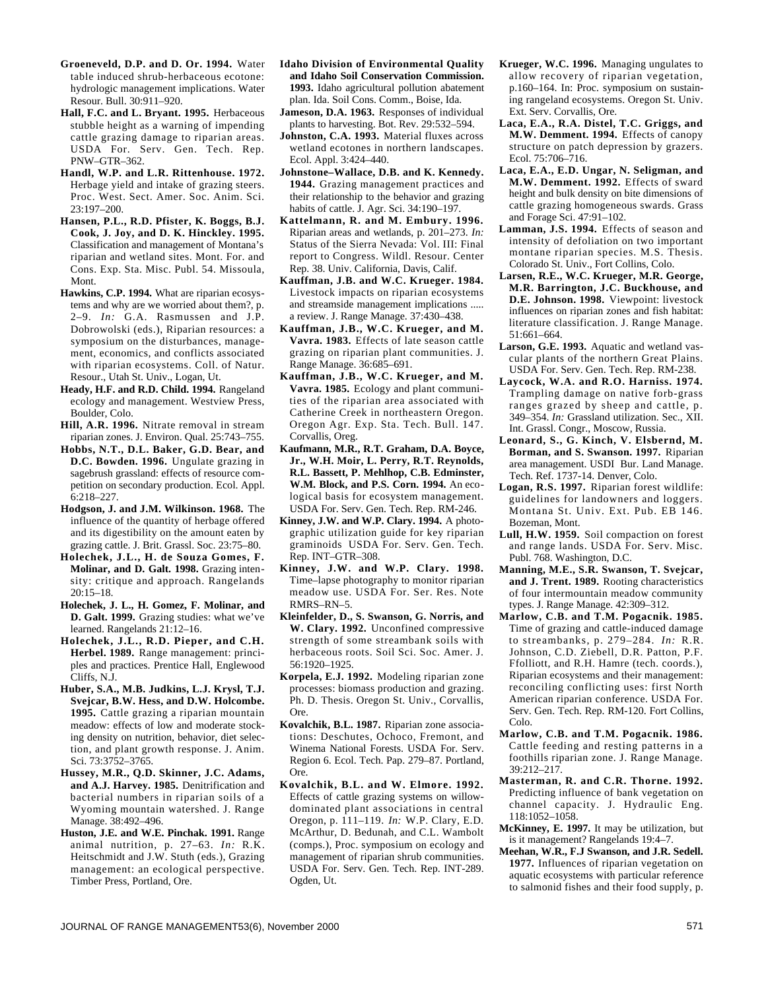- **Groeneveld, D.P. and D. Or. 1994.** Water table induced shrub-herbaceous ecotone: hydrologic management implications. Water Resour. Bull. 30:911–920.
- Hall, F.C. and L. Brvant. 1995. Herbaceous stubble height as a warning of impending cattle grazing damage to riparian areas. USDA For. Serv. Gen. Tech. Rep. PNW–GTR–362.
- **Handl, W.P. and L.R. Rittenhouse. 1972.** Herbage yield and intake of grazing steers. Proc. West. Sect. Amer. Soc. Anim. Sci. 23:197–200.
- **Hansen, P.L., R.D. Pfister, K. Boggs, B.J. Cook, J. Joy, and D. K. Hinckley. 1995.** Classification and management of Montana's riparian and wetland sites. Mont. For. and Cons. Exp. Sta. Misc. Publ. 54. Missoula, Mont.
- **Hawkins, C.P. 1994.** What are riparian ecosystems and why are we worried about them?, p. 2–9. *In:* G.A. Rasmussen and J.P. Dobrowolski (eds.), Riparian resources: a symposium on the disturbances, management, economics, and conflicts associated with riparian ecosystems. Coll. of Natur. Resour., Utah St. Univ., Logan, Ut.
- **Heady, H.F. and R.D. Child. 1994.** Rangeland ecology and management. Westview Press, Boulder, Colo.
- **Hill, A.R. 1996.** Nitrate removal in stream riparian zones. J. Environ. Qual. 25:743–755.
- **Hobbs, N.T., D.L. Baker, G.D. Bear, and D.C. Bowden. 1996.** Ungulate grazing in sagebrush grassland: effects of resource competition on secondary production. Ecol. Appl. 6:218–227.
- **Hodgson, J. and J.M. Wilkinson. 1968.** The influence of the quantity of herbage offered and its digestibility on the amount eaten by grazing cattle. J. Brit. Grassl. Soc. 23:75–80.
- **Holechek, J.L., H. de Souza Gomes, F. Molinar, and D. Galt. 1998.** Grazing intensity: critique and approach. Rangelands 20:15–18.
- **Holechek, J. L., H. Gomez, F. Molinar, and D. Galt. 1999.** Grazing studies: what we've learned. Rangelands 21:12–16.
- **Holechek, J.L., R.D. Pieper, and C.H. Herbel. 1989.** Range management: principles and practices. Prentice Hall, Englewood Cliffs, N.J.
- **Huber, S.A., M.B. Judkins, L.J. Krysl, T.J. Svejcar, B.W. Hess, and D.W. Holcombe. 1995.** Cattle grazing a riparian mountain meadow: effects of low and moderate stocking density on nutrition, behavior, diet selection, and plant growth response. J. Anim. Sci. 73:3752–3765.
- **Hussey, M.R., Q.D. Skinner, J.C. Adams, and A.J. Harvey. 1985.** Denitrification and bacterial numbers in riparian soils of a Wyoming mountain watershed. J. Range Manage. 38:492–496.
- **Huston, J.E. and W.E. Pinchak. 1991.** Range animal nutrition, p. 27-63. *In:* R.K. Heitschmidt and J.W. Stuth (eds.), Grazing management: an ecological perspective. Timber Press, Portland, Ore.
- **Idaho Division of Environmental Quality and Idaho Soil Conservation Commission. 1993.** Idaho agricultural pollution abatement plan. Ida. Soil Cons. Comm., Boise, Ida.
- **Jameson, D.A. 1963.** Responses of individual plants to harvesting. Bot. Rev. 29:532–594.
- **Johnston, C.A. 1993.** Material fluxes across wetland ecotones in northern landscapes. Ecol. Appl. 3:424–440.
- **Johnstone–Wallace, D.B. and K. Kennedy. 1944.** Grazing management practices and their relationship to the behavior and grazing habits of cattle. J. Agr. Sci. 34:190-197.
- **Kattelmann, R. and M. Embury. 1996.** Riparian areas and wetlands, p. 201–273. *In:* Status of the Sierra Nevada: Vol. III: Final report to Congress. Wildl. Resour. Center Rep. 38. Univ. California, Davis, Calif.
- **Kauffman, J.B. and W.C. Krueger. 1984.** Livestock impacts on riparian ecosystems and streamside management implications ..... a review. J. Range Manage. 37:430–438.
- **Kauffman, J.B., W.C. Krueger, and M. Vavra. 1983.** Effects of late season cattle grazing on riparian plant communities. J. Range Manage. 36:685–691.
- **Kauffman, J.B., W.C. Krueger, and M. Vavra. 1985.** Ecology and plant communities of the riparian area associated with Catherine Creek in northeastern Oregon. Oregon Agr. Exp. Sta. Tech. Bull. 147. Corvallis, Oreg.
- **Kaufmann, M.R., R.T. Graham, D.A. Boyce, Jr., W.H. Moir, L. Perry, R.T. Reynolds, R.L. Bassett, P. Mehlhop, C.B. Edminster, W.M. Block, and P.S. Corn. 1994.** An ecological basis for ecosystem management. USDA For. Serv. Gen. Tech. Rep. RM-246.
- **Kinney, J.W. and W.P. Clary. 1994.** A photographic utilization guide for key riparian graminoids USDA For. Serv. Gen. Tech. Rep. INT–GTR–308.
- **Kinney, J.W. and W.P. Clary. 1998.** Time–lapse photography to monitor riparian meadow use. USDA For. Ser. Res. Note RMRS–RN–5.
- **Kleinfelder, D., S. Swanson, G. Norris, and W. Clary. 1992.** Unconfined compressive strength of some streambank soils with herbaceous roots. Soil Sci. Soc. Amer. J. 56:1920–1925.
- **Korpela, E.J. 1992.** Modeling riparian zone processes: biomass production and grazing. Ph. D. Thesis. Oregon St. Univ., Corvallis, Ore.
- **Kovalchik, B.L. 1987.** Riparian zone associations: Deschutes, Ochoco, Fremont, and Winema National Forests. USDA For. Serv. Region 6. Ecol. Tech. Pap. 279–87. Portland, Ore.
- **Kovalchik, B.L. and W. Elmore. 1992.** Effects of cattle grazing systems on willowdominated plant associations in central Oregon, p. 111–119. *In:* W.P. Clary, E.D. McArthur, D. Bedunah, and C.L. Wambolt (comps.), Proc. symposium on ecology and management of riparian shrub communities. USDA For. Serv. Gen. Tech. Rep. INT-289. Ogden, Ut.
- **Krueger, W.C. 1996.** Managing ungulates to allow recovery of riparian vegetation, p.160–164. In: Proc. symposium on sustaining rangeland ecosystems. Oregon St. Univ. Ext. Serv. Corvallis, Ore.
- **Laca, E.A., R.A. Distel, T.C. Griggs, and M.W. Demment. 1994.** Effects of canopy structure on patch depression by grazers. Ecol. 75:706–716.
- **Laca, E.A., E.D. Ungar, N. Seligman, and M.W. Demment. 1992.** Effects of sward height and bulk density on bite dimensions of cattle grazing homogeneous swards. Grass and Forage Sci. 47:91–102.
- **Lamman, J.S. 1994.** Effects of season and intensity of defoliation on two important montane riparian species. M.S. Thesis. Colorado St. Univ., Fort Collins, Colo.
- **Larsen, R.E., W.C. Krueger, M.R. George, M.R. Barrington, J.C. Buckhouse, and D.E. Johnson. 1998.** Viewpoint: livestock influences on riparian zones and fish habitat: literature classification. J. Range Manage. 51:661–664.
- **Larson, G.E. 1993.** Aquatic and wetland vascular plants of the northern Great Plains. USDA For. Serv. Gen. Tech. Rep. RM-238.
- **Laycock, W.A. and R.O. Harniss. 1974.** Trampling damage on native forb-grass ranges grazed by sheep and cattle, p. 349–354. *In:* Grassland utilization. Sec., XII. Int. Grassl. Congr., Moscow, Russia.
- **Leonard, S., G. Kinch, V. Elsbernd, M. Borman, and S. Swanson. 1997.** Riparian area management. USDI Bur. Land Manage. Tech. Ref. 1737-14. Denver, Colo.
- **Logan, R.S. 1997.** Riparian forest wildlife: guidelines for landowners and loggers. Montana St. Univ. Ext. Pub. EB 146. Bozeman, Mont.
- **Lull, H.W. 1959.** Soil compaction on forest and range lands. USDA For. Serv. Misc. Publ. 768. Washington, D.C.
- **Manning, M.E., S.R. Swanson, T. Svejcar, and J. Trent. 1989.** Rooting characteristics of four intermountain meadow community types. J. Range Manage. 42:309–312.
- **Marlow, C.B. and T.M. Pogacnik. 1985.** Time of grazing and cattle-induced damage to streambanks, p. 279-284. *In:* R.R. Johnson, C.D. Ziebell, D.R. Patton, P.F. Ffolliott, and R.H. Hamre (tech. coords.), Riparian ecosystems and their management: reconciling conflicting uses: first North American riparian conference. USDA For. Serv. Gen. Tech. Rep. RM-120. Fort Collins, Colo.
- **Marlow, C.B. and T.M. Pogacnik. 1986.** Cattle feeding and resting patterns in a foothills riparian zone. J. Range Manage. 39:212–217.
- **Masterman, R. and C.R. Thorne. 1992.** Predicting influence of bank vegetation on channel capacity. J. Hydraulic Eng. 118:1052–1058.
- **McKinney, E. 1997.** It may be utilization, but is it management? Rangelands 19:4–7.
- **Meehan, W.R., F.J Swanson, and J.R. Sedell.** 1977. Influences of riparian vegetation on aquatic ecosystems with particular reference to salmonid fishes and their food supply, p.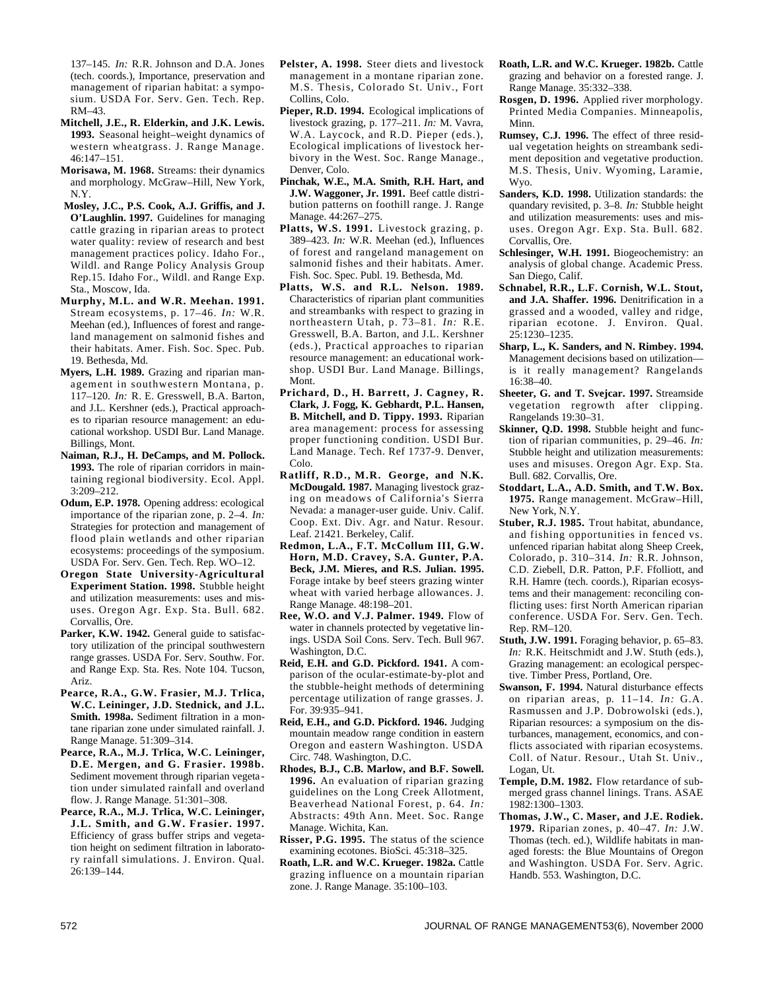137–145. *In:* R.R. Johnson and D.A. Jones (tech. coords.), Importance, preservation and management of riparian habitat: a symposium. USDA For. Serv. Gen. Tech. Rep. RM–43.

- **Mitchell, J.E., R. Elderkin, and J.K. Lewis. 1993.** Seasonal height–weight dynamics of western wheatgrass. J. Range Manage. 46:147–151.
- **Morisawa, M. 1968.** Streams: their dynamics and morphology. McGraw–Hill, New York, N.Y.
- **Mosley, J.C., P.S. Cook, A.J. Griffis, and J. O'Laughlin. 1997.** Guidelines for managing cattle grazing in riparian areas to protect water quality: review of research and best management practices policy. Idaho For., Wildl. and Range Policy Analysis Group Rep.15. Idaho For., Wildl. and Range Exp. Sta., Moscow, Ida.
- **Murphy, M.L. and W.R. Meehan. 1991.** Stream ecosystems, p. 17-46. *In:* W.R. Meehan (ed.), Influences of forest and rangeland management on salmonid fishes and their habitats. Amer. Fish. Soc. Spec. Pub. 19. Bethesda, Md.
- **Myers, L.H. 1989.** Grazing and riparian management in southwestern Montana, p. 117–120. *In:* R. E. Gresswell, B.A. Barton, and J.L. Kershner (eds.), Practical approaches to riparian resource management: an educational workshop. USDI Bur. Land Manage. Billings, Mont.
- **Naiman, R.J., H. DeCamps, and M. Pollock. 1993.** The role of riparian corridors in maintaining regional biodiversity. Ecol. Appl. 3:209–212.
- **Odum, E.P. 1978.** Opening address: ecological importance of the riparian zone, p. 2–4. *In:* Strategies for protection and management of flood plain wetlands and other riparian ecosystems: proceedings of the symposium. USDA For. Serv. Gen. Tech. Rep. WO–12.
- **Oregon State University-Agricultural Experiment Station. 1998.** Stubble height and utilization measurements: uses and misuses. Oregon Agr. Exp. Sta. Bull. 682. Corvallis, Ore.
- Parker, K.W. 1942. General guide to satisfactory utilization of the principal southwestern range grasses. USDA For. Serv. Southw. For. and Range Exp. Sta. Res. Note 104. Tucson, Ariz.
- **Pearce, R.A., G.W. Frasier, M.J. Trlica, W.C. Leininger, J.D. Stednick, and J.L. Smith. 1998a.** Sediment filtration in a montane riparian zone under simulated rainfall. J. Range Manage. 51:309–314.
- **Pearce, R.A., M.J. Trlica, W.C. Leininger, D.E. Mergen, and G. Frasier. 1998b.** Sediment movement through riparian vegetation under simulated rainfall and overland flow. J. Range Manage. 51:301–308.
- **Pearce, R.A., M.J. Trlica, W.C. Leininger, J.L. Smith, and G.W. Frasier. 1997.** Efficiency of grass buffer strips and vegetation height on sediment filtration in laboratory rainfall simulations. J. Environ. Qual. 26:139–144.
- **Pelster, A. 1998.** Steer diets and livestock management in a montane riparian zone. M.S. Thesis, Colorado St. Univ., Fort Collins, Colo.
- **Pieper, R.D. 1994.** Ecological implications of livestock grazing, p. 177–211. *In:* M. Vavra, W.A. Laycock, and R.D. Pieper (eds.), Ecological implications of livestock herbivory in the West. Soc. Range Manage., Denver, Colo.
- **Pinchak, W.E., M.A. Smith, R.H. Hart, and J.W. Waggoner, Jr. 1991.** Beef cattle distribution patterns on foothill range. J. Range Manage. 44:267–275.
- **Platts, W.S. 1991.** Livestock grazing, p. 389–423. *In:* W.R. Meehan (ed.), Influences of forest and rangeland management on salmonid fishes and their habitats. Amer. Fish. Soc. Spec. Publ. 19. Bethesda, Md.
- **Platts, W.S. and R.L. Nelson. 1989.** Characteristics of riparian plant communities and streambanks with respect to grazing in northeastern Utah, p. 73-81. *In:* R.E. Gresswell, B.A. Barton, and J.L. Kershner (eds.), Practical approaches to riparian resource management: an educational workshop. USDI Bur. Land Manage. Billings, Mont.
- **Prichard, D., H. Barrett, J. Cagney, R. Clark, J. Fogg, K. Gebhardt, P.L. Hansen, B. Mitchell, and D. Tippy. 1993. Riparian** area management: process for assessing proper functioning condition. USDI Bur. Land Manage. Tech. Ref 1737-9. Denver, Colo.
- **Ratliff, R.D., M.R. George, and N.K. McDougald. 1987.** Managing livestock grazing on meadows of California's Sierra Nevada: a manager-user guide. Univ. Calif. Coop. Ext. Div. Agr. and Natur. Resour. Leaf. 21421. Berkeley, Calif.
- **Redmon, L.A., F.T. McCollum III, G.W. Horn, M.D. Cravey, S.A. Gunter, P.A. Beck, J.M. Mieres, and R.S. Julian. 1995.** Forage intake by beef steers grazing winter wheat with varied herbage allowances. J. Range Manage. 48:198–201.
- **Ree, W.O. and V.J. Palmer. 1949.** Flow of water in channels protected by vegetative linings. USDA Soil Cons. Serv. Tech. Bull 967. Washington, D.C.
- **Reid, E.H. and G.D. Pickford. 1941.** A comparison of the ocular-estimate-by-plot and the stubble-height methods of determining percentage utilization of range grasses. J. For. 39:935–941.
- **Reid, E.H., and G.D. Pickford. 1946.** Judging mountain meadow range condition in eastern Oregon and eastern Washington. USDA Circ. 748. Washington, D.C.
- **Rhodes, B.J., C.B. Marlow, and B.F. Sowell. 1996.** An evaluation of riparian grazing guidelines on the Long Creek Allotment, Beaverhead National Forest, p. 64. In: Abstracts: 49th Ann. Meet. Soc. Range Manage. Wichita, Kan.
- **Risser, P.G. 1995.** The status of the science examining ecotones. BioSci. 45:318–325.
- **Roath, L.R. and W.C. Krueger. 1982a.** Cattle grazing influence on a mountain riparian zone. J. Range Manage. 35:100–103.
- **Roath, L.R. and W.C. Krueger. 1982b.** Cattle grazing and behavior on a forested range. J. Range Manage. 35:332–338.
- **Rosgen, D. 1996.** Applied river morphology. Printed Media Companies. Minneapolis, Minn
- **Rumsey, C.J. 1996.** The effect of three residual vegetation heights on streambank sediment deposition and vegetative production. M.S. Thesis, Univ. Wyoming, Laramie, Wyo.
- **Sanders, K.D. 1998.** Utilization standards: the quandary revisited, p. 3–8. *In:* Stubble height and utilization measurements: uses and misuses. Oregon Agr. Exp. Sta. Bull. 682. Corvallis, Ore.
- **Schlesinger, W.H. 1991.** Biogeochemistry: an analysis of global change. Academic Press. San Diego, Calif.
- **Schnabel, R.R., L.F. Cornish, W.L. Stout, and J.A. Shaffer. 1996.** Denitrification in a grassed and a wooded, valley and ridge, riparian ecotone. J. Environ. Qual. 25:1230–1235.
- **Sharp, L., K. Sanders, and N. Rimbey. 1994.** Management decisions based on utilization is it really management? Rangelands 16:38–40.
- **Sheeter, G. and T. Svejcar. 1997.** Streamside vegetation regrowth after clipping. Rangelands 19:30–31.
- **Skinner, Q.D. 1998.** Stubble height and function of riparian communities, p. 29–46. *In:* Stubble height and utilization measurements: uses and misuses. Oregon Agr. Exp. Sta. Bull. 682. Corvallis, Ore.
- **Stoddart, L.A., A.D. Smith, and T.W. Box.** 1975. Range management. McGraw-Hill, New York, N.Y.
- **Stuber, R.J. 1985.** Trout habitat, abundance, and fishing opportunities in fenced vs. unfenced riparian habitat along Sheep Creek, Colorado, p. 310–314. *In:* R.R. Johnson, C.D. Ziebell, D.R. Patton, P.F. Ffolliott, and R.H. Hamre (tech. coords.), Riparian ecosystems and their management: reconciling conflicting uses: first North American riparian conference. USDA For. Serv. Gen. Tech. Rep. RM–120.
- **Stuth, J.W. 1991.** Foraging behavior, p. 65–83. *In:* R.K. Heitschmidt and J.W. Stuth (eds.), Grazing management: an ecological perspective. Timber Press, Portland, Ore.
- **Swanson, F. 1994.** Natural disturbance effects on riparian areas, p. 11-14. *In:* G.A. Rasmussen and J.P. Dobrowolski (eds.), Riparian resources: a symposium on the disturbances, management, economics, and conflicts associated with riparian ecosystems. Coll. of Natur. Resour., Utah St. Univ., Logan, Ut.
- **Temple, D.M. 1982.** Flow retardance of submerged grass channel linings. Trans. ASAE 1982:1300–1303.
- **Thomas, J.W., C. Maser, and J.E. Rodiek. 1979.** Riparian zones, p. 40–47. *In:* J.W. Thomas (tech. ed.), Wildlife habitats in managed forests: the Blue Mountains of Oregon and Washington. USDA For. Serv. Agric. Handb. 553. Washington, D.C.